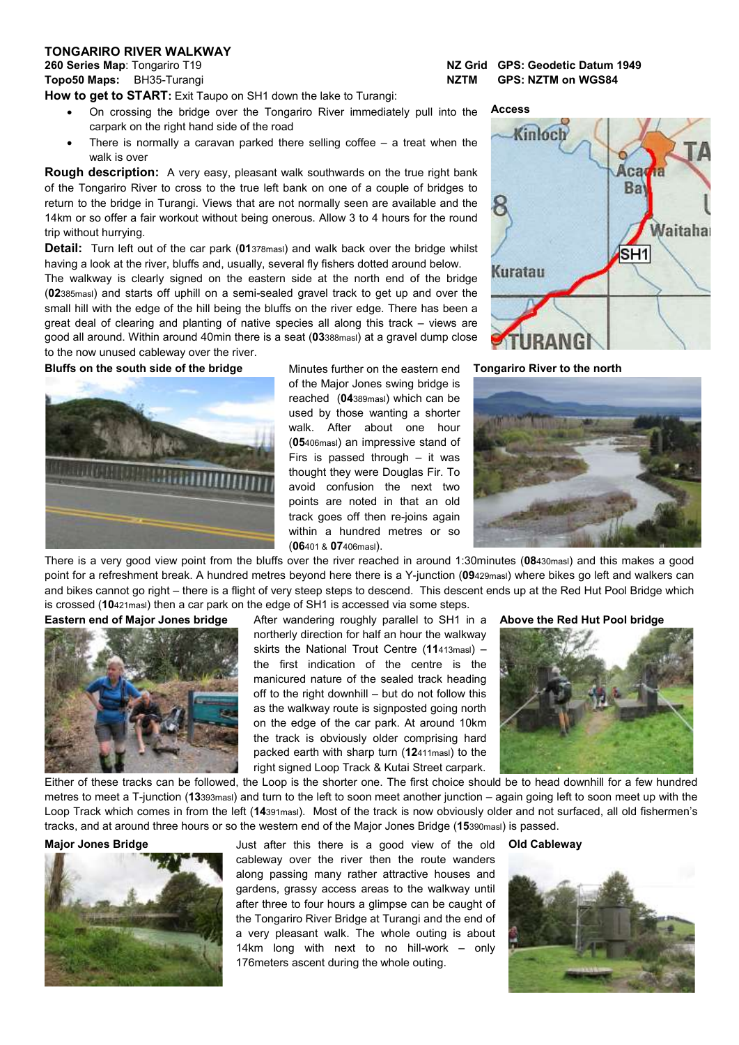## **TONGARIRO RIVER WALKWAY**

**How to get to START:** Exit Taupo on SH1 down the lake to Turangi:

- On crossing the bridge over the Tongariro River immediately pull into the carpark on the right hand side of the road
- There is normally a caravan parked there selling coffee  $-$  a treat when the walk is over

**Rough description:** A very easy, pleasant walk southwards on the true right bank of the Tongariro River to cross to the true left bank on one of a couple of bridges to return to the bridge in Turangi. Views that are not normally seen are available and the 14km or so offer a fair workout without being onerous. Allow 3 to 4 hours for the round trip without hurrying.

**Detail:** Turn left out of the car park (**01**378masl) and walk back over the bridge whilst having a look at the river, bluffs and, usually, several fly fishers dotted around below.

The walkway is clearly signed on the eastern side at the north end of the bridge (**02**385masl) and starts off uphill on a semi-sealed gravel track to get up and over the small hill with the edge of the hill being the bluffs on the river edge. There has been a great deal of clearing and planting of native species all along this track – views are good all around. Within around 40min there is a seat (**03**388masl) at a gravel dump close to the now unused cableway over the river.

**Bluffs on the south side of the bridge Minutes further on the eastern end** 



of the Major Jones swing bridge is reached (**04**389masl) which can be used by those wanting a shorter walk. After about one hour (**05**406masl) an impressive stand of Firs is passed through – it was thought they were Douglas Fir. To avoid confusion the next two points are noted in that an old track goes off then re-joins again within a hundred metres or so (**06**401 & **07**406masl).

**260 Series Map**: Tongariro T19 **NZ Grid GPS: Geodetic Datum 1949 Topo50 Maps:** BH35-Turangi **NZTM GPS: NZTM on WGS84**



**Tongariro River to the north**



There is a very good view point from the bluffs over the river reached in around 1:30minutes (**08**430masl) and this makes a good point for a refreshment break. A hundred metres beyond here there is a Y-junction (**09**429masl) where bikes go left and walkers can and bikes cannot go right – there is a flight of very steep steps to descend. This descent ends up at the Red Hut Pool Bridge which is crossed (**10**421masl) then a car park on the edge of SH1 is accessed via some steps.



**Eastern end of Major Jones bridge** After wandering roughly parallel to SH1 in a northerly direction for half an hour the walkway skirts the National Trout Centre (**11**413masl) – the first indication of the centre is the manicured nature of the sealed track heading off to the right downhill – but do not follow this as the walkway route is signposted going north on the edge of the car park. At around 10km the track is obviously older comprising hard packed earth with sharp turn (**12**411masl) to the right signed Loop Track & Kutai Street carpark.

**Above the Red Hut Pool bridge**



Either of these tracks can be followed, the Loop is the shorter one. The first choice should be to head downhill for a few hundred metres to meet a T-junction (**13**393masl) and turn to the left to soon meet another junction – again going left to soon meet up with the Loop Track which comes in from the left (**14**391masl). Most of the track is now obviously older and not surfaced, all old fishermen's tracks, and at around three hours or so the western end of the Major Jones Bridge (**15**390masl) is passed.



**Major Jones Bridge State Accept Accept Accept Accept** Just after this there is a good view of the old cableway over the river then the route wanders along passing many rather attractive houses and gardens, grassy access areas to the walkway until after three to four hours a glimpse can be caught of the Tongariro River Bridge at Turangi and the end of a very pleasant walk. The whole outing is about 14km long with next to no hill-work – only 176meters ascent during the whole outing.

**Old Cableway**